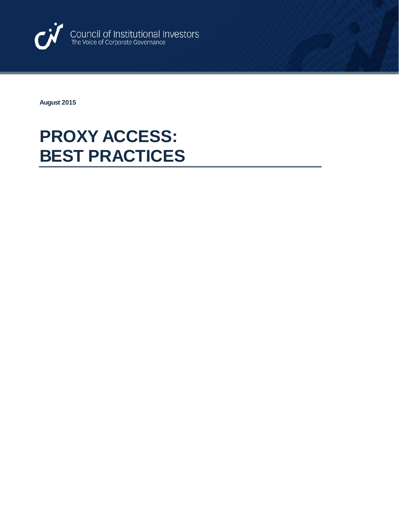

**August 2015**

## **PROXY ACCESS: BEST PRACTICES**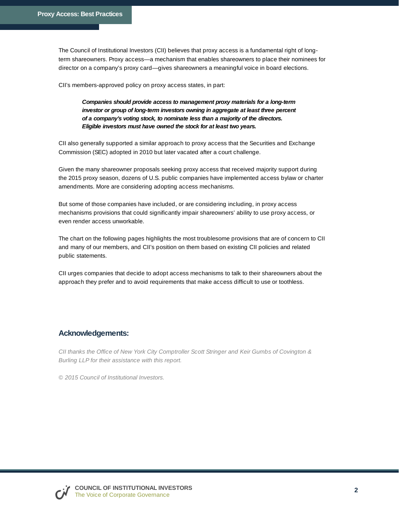The Council of Institutional Investors (CII) believes that proxy access is a fundamental right of longterm shareowners. Proxy access—a mechanism that enables shareowners to place their nominees for director on a company's proxy card—gives shareowners a meaningful voice in board elections.

CII's members-approved policy on proxy access states, in part:

*Companies should provide access to management proxy materials for a long-term investor or group of long-term investors owning in aggregate at least three percent of a company's voting stock, to nominate less than a majority of the directors. Eligible investors must have owned the stock for at least two years.*

CII also generally supported a similar approach to proxy access that the Securities and Exchange Commission (SEC) adopted in 2010 but later vacated after a court challenge.

Given the many shareowner proposals seeking proxy access that received majority support during the 2015 proxy season, dozens of U.S. public companies have implemented access bylaw or charter amendments. More are considering adopting access mechanisms.

But some of those companies have included, or are considering including, in proxy access mechanisms provisions that could significantly impair shareowners' ability to use proxy access, or even render access unworkable.

The chart on the following pages highlights the most troublesome provisions that are of concern to CII and many of our members, and CII's position on them based on existing CII policies and related public statements.

CII urges companies that decide to adopt access mechanisms to talk to their shareowners about the approach they prefer and to avoid requirements that make access difficult to use or toothless.

## **Acknowledgements:**

*CII thanks the Office of New York City Comptroller Scott Stringer and Keir Gumbs of Covington & Burling LLP for their assistance with this report.*

*© 2015 Council of Institutional Investors.*

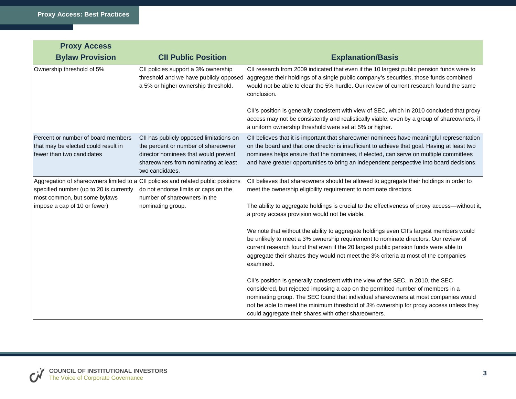| <b>Proxy Access</b>                                                                                    |                                                                                                                                                                                   |                                                                                                                                                                                                                                                                                                                                                                                                               |
|--------------------------------------------------------------------------------------------------------|-----------------------------------------------------------------------------------------------------------------------------------------------------------------------------------|---------------------------------------------------------------------------------------------------------------------------------------------------------------------------------------------------------------------------------------------------------------------------------------------------------------------------------------------------------------------------------------------------------------|
| <b>Bylaw Provision</b>                                                                                 | <b>CII Public Position</b>                                                                                                                                                        | <b>Explanation/Basis</b>                                                                                                                                                                                                                                                                                                                                                                                      |
| Ownership threshold of 5%                                                                              | CII policies support a 3% ownership<br>threshold and we have publicly opposed<br>a 5% or higher ownership threshold.                                                              | CII research from 2009 indicated that even if the 10 largest public pension funds were to<br>aggregate their holdings of a single public company's securities, those funds combined<br>would not be able to clear the 5% hurdle. Our review of current research found the same<br>conclusion.                                                                                                                 |
|                                                                                                        |                                                                                                                                                                                   | CII's position is generally consistent with view of SEC, which in 2010 concluded that proxy<br>access may not be consistently and realistically viable, even by a group of shareowners, if<br>a uniform ownership threshold were set at 5% or higher.                                                                                                                                                         |
| Percent or number of board members<br>that may be elected could result in<br>fewer than two candidates | CII has publicly opposed limitations on<br>the percent or number of shareowner<br>director nominees that would prevent<br>shareowners from nominating at least<br>two candidates. | CII believes that it is important that shareowner nominees have meaningful representation<br>on the board and that one director is insufficient to achieve that goal. Having at least two<br>nominees helps ensure that the nominees, if elected, can serve on multiple committees<br>and have greater opportunities to bring an independent perspective into board decisions.                                |
| specified number (up to 20 is currently<br>most common, but some bylaws                                | Aggregation of shareowners limited to a CII policies and related public positions<br>do not endorse limits or caps on the<br>number of shareowners in the                         | CII believes that shareowners should be allowed to aggregate their holdings in order to<br>meet the ownership eligibility requirement to nominate directors.                                                                                                                                                                                                                                                  |
| impose a cap of 10 or fewer)                                                                           | nominating group.                                                                                                                                                                 | The ability to aggregate holdings is crucial to the effectiveness of proxy access—without it,<br>a proxy access provision would not be viable.                                                                                                                                                                                                                                                                |
|                                                                                                        |                                                                                                                                                                                   | We note that without the ability to aggregate holdings even CII's largest members would<br>be unlikely to meet a 3% ownership requirement to nominate directors. Our review of<br>current research found that even if the 20 largest public pension funds were able to<br>aggregate their shares they would not meet the 3% criteria at most of the companies<br>examined.                                    |
|                                                                                                        |                                                                                                                                                                                   | CII's position is generally consistent with the view of the SEC. In 2010, the SEC<br>considered, but rejected imposing a cap on the permitted number of members in a<br>nominating group. The SEC found that individual shareowners at most companies would<br>not be able to meet the minimum threshold of 3% ownership for proxy access unless they<br>could aggregate their shares with other shareowners. |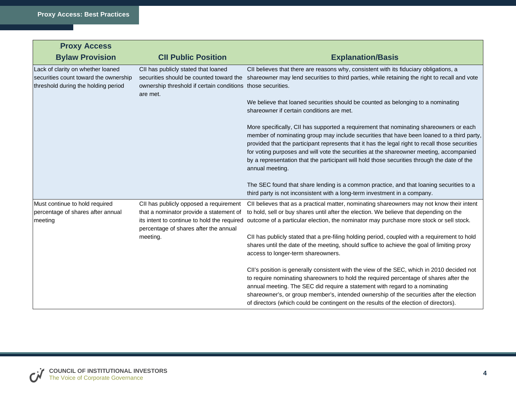| <b>Proxy Access</b>                                                                                               |                                                                                                                            |                                                                                                                                                                                                                                                                                                                                                                                                                                                                                                     |
|-------------------------------------------------------------------------------------------------------------------|----------------------------------------------------------------------------------------------------------------------------|-----------------------------------------------------------------------------------------------------------------------------------------------------------------------------------------------------------------------------------------------------------------------------------------------------------------------------------------------------------------------------------------------------------------------------------------------------------------------------------------------------|
| <b>Bylaw Provision</b>                                                                                            | <b>CII Public Position</b>                                                                                                 | <b>Explanation/Basis</b>                                                                                                                                                                                                                                                                                                                                                                                                                                                                            |
| Lack of clarity on whether loaned<br>securities count toward the ownership<br>threshold during the holding period | CII has publicly stated that loaned<br>ownership threshold if certain conditions those securities.<br>are met.             | CII believes that there are reasons why, consistent with its fiduciary obligations, a<br>securities should be counted toward the shareowner may lend securities to third parties, while retaining the right to recall and vote                                                                                                                                                                                                                                                                      |
|                                                                                                                   |                                                                                                                            | We believe that loaned securities should be counted as belonging to a nominating<br>shareowner if certain conditions are met.                                                                                                                                                                                                                                                                                                                                                                       |
|                                                                                                                   |                                                                                                                            | More specifically, CII has supported a requirement that nominating shareowners or each<br>member of nominating group may include securities that have been loaned to a third party,<br>provided that the participant represents that it has the legal right to recall those securities<br>for voting purposes and will vote the securities at the shareowner meeting, accompanied<br>by a representation that the participant will hold those securities through the date of the<br>annual meeting. |
|                                                                                                                   |                                                                                                                            | The SEC found that share lending is a common practice, and that loaning securities to a<br>third party is not inconsistent with a long-term investment in a company.                                                                                                                                                                                                                                                                                                                                |
| Must continue to hold required<br>percentage of shares after annual<br>meeting                                    | CII has publicly opposed a requirement<br>that a nominator provide a statement of<br>percentage of shares after the annual | CII believes that as a practical matter, nominating shareowners may not know their intent<br>to hold, sell or buy shares until after the election. We believe that depending on the<br>its intent to continue to hold the required outcome of a particular election, the nominator may purchase more stock or sell stock.                                                                                                                                                                           |
|                                                                                                                   | meeting.                                                                                                                   | CII has publicly stated that a pre-filing holding period, coupled with a requirement to hold<br>shares until the date of the meeting, should suffice to achieve the goal of limiting proxy<br>access to longer-term shareowners.                                                                                                                                                                                                                                                                    |
|                                                                                                                   |                                                                                                                            | CII's position is generally consistent with the view of the SEC, which in 2010 decided not<br>to require nominating shareowners to hold the required percentage of shares after the<br>annual meeting. The SEC did require a statement with regard to a nominating<br>shareowner's, or group member's, intended ownership of the securities after the election<br>of directors (which could be contingent on the results of the election of directors).                                             |